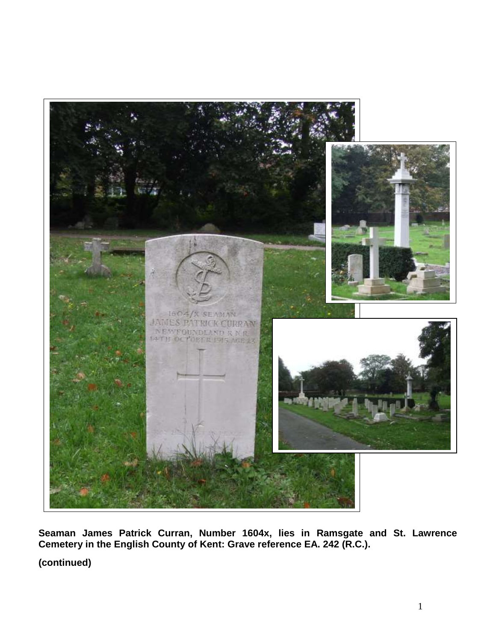

**Seaman James Patrick Curran, Number 1604x, lies in Ramsgate and St. Lawrence Cemetery in the English County of Kent: Grave reference EA. 242 (R.C.).**

**(continued)**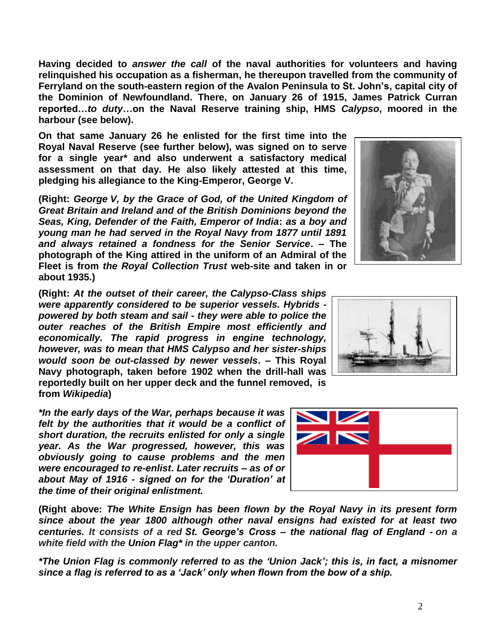2

**Having decided to** *answer the call* **of the naval authorities for volunteers and having relinquished his occupation as a fisherman, he thereupon travelled from the community of Ferryland on the south-eastern region of the Avalon Peninsula to St. John's, capital city of the Dominion of Newfoundland. There, on January 26 of 1915, James Patrick Curran reported…***to duty***…on the Naval Reserve training ship, HMS** *Calypso***, moored in the harbour (see below).**

**On that same January 26 he enlisted for the first time into the Royal Naval Reserve (see further below), was signed on to serve for a single year\* and also underwent a satisfactory medical assessment on that day. He also likely attested at this time, pledging his allegiance to the King-Emperor, George V.**

**(Right:** *George V, by the Grace of God, of the United Kingdom of Great Britain and Ireland and of the British Dominions beyond the Seas, King, Defender of the Faith, Emperor of India***:** *as a boy and young man he had served in the Royal Navy from 1877 until 1891 and always retained a fondness for the Senior Service***. – The photograph of the King attired in the uniform of an Admiral of the Fleet is from** *the Royal Collection Trust* **web-site and taken in or about 1935.)**

**(Right:** *At the outset of their career, the Calypso-Class ships were apparently considered to be superior vessels. Hybrids powered by both steam and sail - they were able to police the outer reaches of the British Empire most efficiently and economically. The rapid progress in engine technology, however, was to mean that HMS Calypso and her sister-ships would soon be out-classed by newer vessels***. – This Royal Navy photograph, taken before 1902 when the drill-hall was reportedly built on her upper deck and the funnel removed, is from** *Wikipedia***)**

*\*In the early days of the War, perhaps because it was felt by the authorities that it would be a conflict of short duration, the recruits enlisted for only a single year. As the War progressed, however, this was obviously going to cause problems and the men were encouraged to re-enlist***.** *Later recruits – as of or about May of 1916 - signed on for the 'Duration' at the time of their original enlistment.*

**(Right above:** *The White Ensign has been flown by the Royal Navy in its present form since about the year 1800 although other naval ensigns had existed for at least two centuries. It consists of a red St. George's Cross – the national flag of England - on a white field with the Union Flag\* in the upper canton.*

*\*The Union Flag is commonly referred to as the 'Union Jack'; this is, in fact, a misnomer since a flag is referred to as a 'Jack' only when flown from the bow of a ship.*





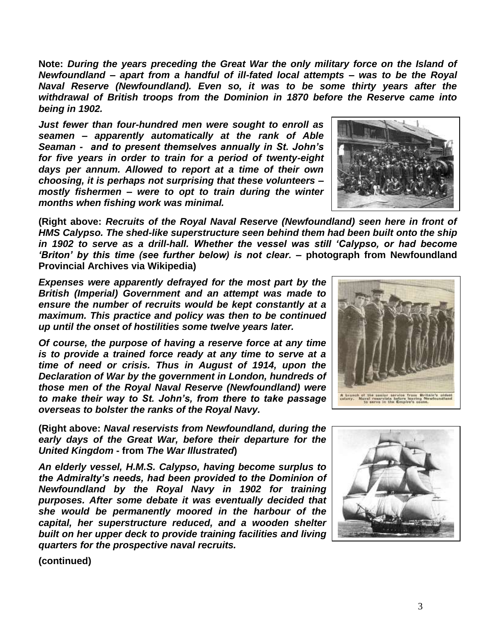**Note:** *During the years preceding the Great War the only military force on the Island of Newfoundland – apart from a handful of ill-fated local attempts – was to be the Royal Naval Reserve (Newfoundland). Even so, it was to be some thirty years after the withdrawal of British troops from the Dominion in 1870 before the Reserve came into being in 1902.* 

*Just fewer than four-hundred men were sought to enroll as seamen – apparently automatically at the rank of Able Seaman - and to present themselves annually in St. John's for five years in order to train for a period of twenty-eight days per annum. Allowed to report at a time of their own choosing, it is perhaps not surprising that these volunteers – mostly fishermen – were to opt to train during the winter months when fishing work was minimal.*

**(Right above:** *Recruits of the Royal Naval Reserve (Newfoundland) seen here in front of HMS Calypso. The shed-like superstructure seen behind them had been built onto the ship in 1902 to serve as a drill-hall. Whether the vessel was still 'Calypso, or had become 'Briton' by this time (see further below) is not clear.* **– photograph from Newfoundland Provincial Archives via Wikipedia)**

*Expenses were apparently defrayed for the most part by the British (Imperial) Government and an attempt was made to ensure the number of recruits would be kept constantly at a maximum. This practice and policy was then to be continued up until the onset of hostilities some twelve years later.*

*Of course, the purpose of having a reserve force at any time is to provide a trained force ready at any time to serve at a time of need or crisis. Thus in August of 1914, upon the Declaration of War by the government in London, hundreds of those men of the Royal Naval Reserve (Newfoundland) were to make their way to St. John's, from there to take passage overseas to bolster the ranks of the Royal Navy.*

**(Right above:** *Naval reservists from Newfoundland, during the early days of the Great War, before their departure for the United Kingdom* **- from** *The War Illustrated***)**

*An elderly vessel, H.M.S. Calypso, having become surplus to the Admiralty's needs, had been provided to the Dominion of Newfoundland by the Royal Navy in 1902 for training purposes. After some debate it was eventually decided that she would be permanently moored in the harbour of the capital, her superstructure reduced, and a wooden shelter built on her upper deck to provide training facilities and living quarters for the prospective naval recruits.*

**(continued)**





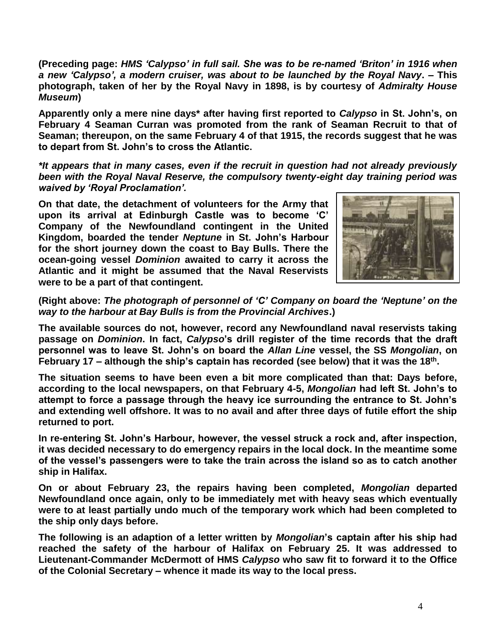**(Preceding page:** *HMS 'Calypso' in full sail. She was to be re-named 'Briton' in 1916 when a new 'Calypso', a modern cruiser, was about to be launched by the Royal Navy***. – This photograph, taken of her by the Royal Navy in 1898, is by courtesy of** *Admiralty House Museum***)**

**Apparently only a mere nine days\* after having first reported to** *Calypso* **in St. John's, on February 4 Seaman Curran was promoted from the rank of Seaman Recruit to that of Seaman; thereupon, on the same February 4 of that 1915, the records suggest that he was to depart from St. John's to cross the Atlantic.** 

*\*It appears that in many cases, even if the recruit in question had not already previously been with the Royal Naval Reserve, the compulsory twenty-eight day training period was waived by 'Royal Proclamation'.*

**On that date, the detachment of volunteers for the Army that upon its arrival at Edinburgh Castle was to become 'C' Company of the Newfoundland contingent in the United Kingdom, boarded the tender** *Neptune* **in St. John's Harbour for the short journey down the coast to Bay Bulls. There the ocean-going vessel** *Dominion* **awaited to carry it across the Atlantic and it might be assumed that the Naval Reservists were to be a part of that contingent.** 



**(Right above:** *The photograph of personnel of 'C' Company on board the 'Neptune' on the way to the harbour at Bay Bulls is from the Provincial Archives***.)**

**The available sources do not, however, record any Newfoundland naval reservists taking passage on** *Dominion***. In fact,** *Calypso***'s drill register of the time records that the draft personnel was to leave St. John's on board the** *Allan Line* **vessel, the SS** *Mongolian***, on February 17 – although the ship's captain has recorded (see below) that it was the 18th .**

**The situation seems to have been even a bit more complicated than that: Days before, according to the local newspapers, on that February 4-5,** *Mongolian* **had left St. John's to attempt to force a passage through the heavy ice surrounding the entrance to St. John's and extending well offshore. It was to no avail and after three days of futile effort the ship returned to port.**

**In re-entering St. John's Harbour, however, the vessel struck a rock and, after inspection, it was decided necessary to do emergency repairs in the local dock. In the meantime some of the vessel's passengers were to take the train across the island so as to catch another ship in Halifax.** 

**On or about February 23, the repairs having been completed,** *Mongolian* **departed Newfoundland once again, only to be immediately met with heavy seas which eventually were to at least partially undo much of the temporary work which had been completed to the ship only days before.**

**The following is an adaption of a letter written by** *Mongolian***'s captain after his ship had reached the safety of the harbour of Halifax on February 25. It was addressed to Lieutenant-Commander McDermott of HMS** *Calypso* **who saw fit to forward it to the Office of the Colonial Secretary – whence it made its way to the local press.**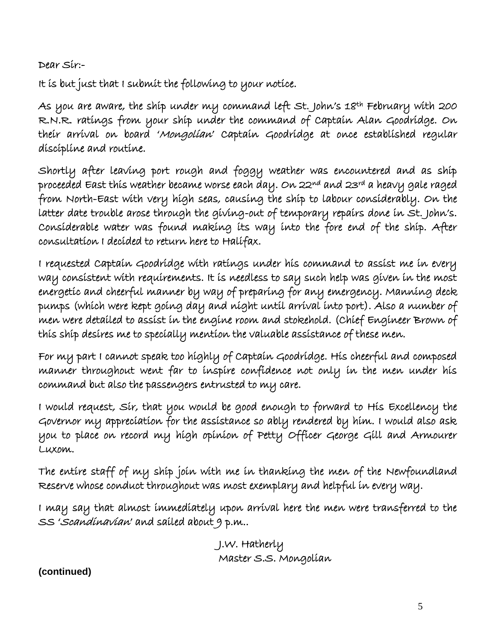Dear Sir:-

It is but just that I submit the following to your notice.

As you are aware, the ship under my command left St. John's 18<sup>th</sup> February with 200 R.N.R. ratings from your ship under the command of Captain Alan Goodridge. On their arrival on board 'Mongolian' Captain Goodridge at once established regular discipline and routine.

Shortly after leaving port rough and foggy weather was encountered and as ship proceeded East this weather became worse each day. On 22nd and 23rd a heavy gale raged from North-East with very high seas, causing the ship to labour considerably. On the latter date trouble arose through the giving-out of temporary repairs done in St. John's. Considerable water was found making its way into the fore end of the ship. After consultation I decided to return here to Halifax.

I requested Captain Goodridge with ratings under his command to assist me in every way consistent with requirements. It is needless to say such help was given in the most energetic and cheerful manner by way of preparing for any emergency. Manning deck pumps (which were kept going day and night until arrival into port). Also a number of men were detailed to assist in the engine room and stokehold. (Chief Engineer Brown of this ship desires me to specially mention the valuable assistance of these men.

For my part I cannot speak too highly of Captain Goodridge. His cheerful and composed manner throughout went far to inspire confidence not only in the men under his command but also the passengers entrusted to my care.

I would request, Sir, that you would be good enough to forward to His Excellency the Governor my appreciation for the assistance so ably rendered by him. I would also ask you to place on record my high opinion of Petty Officer George Gill and Armourer Luxom.

The entire staff of my ship join with me in thanking the men of the Newfoundland Reserve whose conduct throughout was most exemplary and helpful in every way.

I may say that almost immediately upon arrival here the men were transferred to the SS 'Scandinavian' and sailed about 9 p.m..

> J.W. Hatherly Master S.S. Mongolian

**(continued)**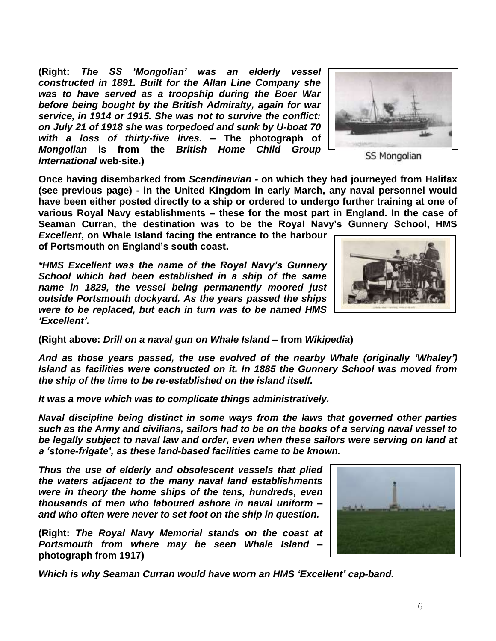**(Right:** *The SS 'Mongolian' was an elderly vessel constructed in 1891. Built for the Allan Line Company she was to have served as a troopship during the Boer War before being bought by the British Admiralty, again for war service, in 1914 or 1915. She was not to survive the conflict: on July 21 of 1918 she was torpedoed and sunk by U-boat 70 with a loss of thirty-five lives***. – The photograph of**  *Mongolian* **is from the** *British Home Child Group International* **web-site.)**

**Once having disembarked from** *Scandinavian -* **on which they had journeyed from Halifax (see previous page) - in the United Kingdom in early March, any naval personnel would have been either posted directly to a ship or ordered to undergo further training at one of various Royal Navy establishments – these for the most part in England. In the case of Seaman Curran, the destination was to be the Royal Navy's Gunnery School, HMS** 

*Excellent***, on Whale Island facing the entrance to the harbour of Portsmouth on England's south coast.**

*\*HMS Excellent was the name of the Royal Navy's Gunnery School which had been established in a ship of the same name in 1829, the vessel being permanently moored just outside Portsmouth dockyard. As the years passed the ships were to be replaced, but each in turn was to be named HMS 'Excellent'.*

**(Right above:** *Drill on a naval gun on Whale Island* **– from** *Wikipedia***)**

*And as those years passed, the use evolved of the nearby Whale (originally 'Whaley') Island as facilities were constructed on it. In 1885 the Gunnery School was moved from the ship of the time to be re-established on the island itself.*

*It was a move which was to complicate things administratively.*

*Naval discipline being distinct in some ways from the laws that governed other parties such as the Army and civilians, sailors had to be on the books of a serving naval vessel to be legally subject to naval law and order, even when these sailors were serving on land at a 'stone-frigate', as these land-based facilities came to be known.*

*Thus the use of elderly and obsolescent vessels that plied the waters adjacent to the many naval land establishments were in theory the home ships of the tens, hundreds, even thousands of men who laboured ashore in naval uniform – and who often were never to set foot on the ship in question.*

**(Right:** *The Royal Navy Memorial stands on the coast at Portsmouth from where may be seen Whale Island* **– photograph from 1917)**

*Which is why Seaman Curran would have worn an HMS 'Excellent' cap-band.*





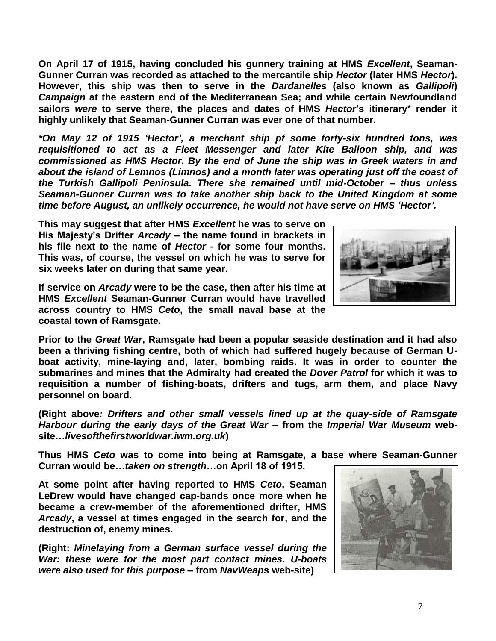**On April 17 of 1915, having concluded his gunnery training at HMS** *Excellent***, Seaman-Gunner Curran was recorded as attached to the mercantile ship** *Hector* **(later HMS** *Hector***). However, this ship was then to serve in the** *Dardanelles* **(also known as** *Gallipoli***)**  *Campaign* **at the eastern end of the Mediterranean Sea; and while certain Newfoundland sailors** *were* **to serve there, the places and dates of HMS** *Hector***'s itinerary\* render it highly unlikely that Seaman-Gunner Curran was ever one of that number.**

*\*On May 12 of 1915 'Hector', a merchant ship pf some forty-six hundred tons, was requisitioned to act as a Fleet Messenger and later Kite Balloon ship, and was commissioned as HMS Hector. By the end of June the ship was in Greek waters in and about the island of Lemnos (Limnos) and a month later was operating just off the coast of the Turkish Gallipoli Peninsula. There she remained until mid-October – thus unless Seaman-Gunner Curran was to take another ship back to the United Kingdom at some time before August, an unlikely occurrence, he would not have serve on HMS 'Hector'.*

**This may suggest that after HMS** *Excellent* **he was to serve on His Majesty's Drifter** *Arcady* **– the name found in brackets in his file next to the name of** *Hector* **- for some four months. This was, of course, the vessel on which he was to serve for six weeks later on during that same year.**

**If service on** *Arcady* **were to be the case, then after his time at HMS** *Excellent* **Seaman-Gunner Curran would have travelled across country to HMS** *Ceto***, the small naval base at the coastal town of Ramsgate.**

**Prior to the** *Great War***, Ramsgate had been a popular seaside destination and it had also been a thriving fishing centre, both of which had suffered hugely because of German Uboat activity, mine-laying and, later, bombing raids. It was in order to counter the submarines and mines that the Admiralty had created the** *Dover Patrol* **for which it was to requisition a number of fishing-boats, drifters and tugs, arm them, and place Navy personnel on board.**

**(Right above***: Drifters and other small vessels lined up at the quay-side of Ramsgate Harbour during the early days of the Great War* **– from the** *Imperial War Museum* **website…***livesofthefirstworldwar.iwm.org.uk***)** 

**Thus HMS** *Ceto* **was to come into being at Ramsgate, a base where Seaman-Gunner Curran would be…***taken on strength***…on April 18 of 1915.** 

**At some point after having reported to HMS** *Ceto***, Seaman LeDrew would have changed cap-bands once more when he became a crew-member of the aforementioned drifter, HMS**  *Arcady***, a vessel at times engaged in the search for, and the destruction of, enemy mines.**

**(Right:** *Minelaying from a German surface vessel during the War: these were for the most part contact mines. U-boats were also used for this purpose* **– from** *NavWeap***s web-site)**



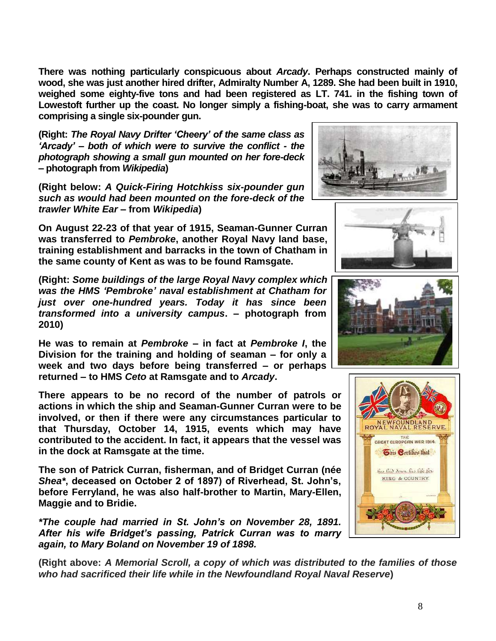**There was nothing particularly conspicuous about** *Arcady***. Perhaps constructed mainly of wood, she was just another hired drifter, Admiralty Number A, 1289. She had been built in 1910, weighed some eighty-five tons and had been registered as LT. 741. in the fishing town of Lowestoft further up the coast. No longer simply a fishing-boat, she was to carry armament comprising a single six-pounder gun.** 

**(Right:** *The Royal Navy Drifter 'Cheery' of the same class as 'Arcady' – both of which were to survive the conflict - the photograph showing a small gun mounted on her fore-deck* **– photograph from** *Wikipedia***)**

**(Right below:** *A Quick-Firing Hotchkiss six-pounder gun such as would had been mounted on the fore-deck of the trawler White Ear* **– from** *Wikipedia***)**

**On August 22-23 of that year of 1915, Seaman-Gunner Curran was transferred to** *Pembroke***, another Royal Navy land base, training establishment and barracks in the town of Chatham in the same county of Kent as was to be found Ramsgate.**

**(Right:** *Some buildings of the large Royal Navy complex which was the HMS 'Pembroke' naval establishment at Chatham for just over one-hundred years. Today it has since been transformed into a university campus***. – photograph from 2010)**

**He was to remain at** *Pembroke* **– in fact at** *Pembroke I***, the Division for the training and holding of seaman – for only a week and two days before being transferred – or perhaps returned – to HMS** *Ceto* **at Ramsgate and to** *Arcady***.**

**There appears to be no record of the number of patrols or actions in which the ship and Seaman-Gunner Curran were to be involved, or then if there were any circumstances particular to that Thursday, October 14, 1915, events which may have contributed to the accident. In fact, it appears that the vessel was in the dock at Ramsgate at the time.**

**The son of Patrick Curran, fisherman, and of Bridget Curran (née**  *Shea\****, deceased on October 2 of 1897) of Riverhead, St. John's, before Ferryland, he was also half-brother to Martin, Mary-Ellen, Maggie and to Bridie.**

*\*The couple had married in St. John's on November 28, 1891. After his wife Bridget's passing, Patrick Curran was to marry again, to Mary Boland on November 19 of 1898.*

**(Right above:** *A Memorial Scroll, a copy of which was distributed to the families of those who had sacrificed their life while in the Newfoundland Royal Naval Reserve***)**